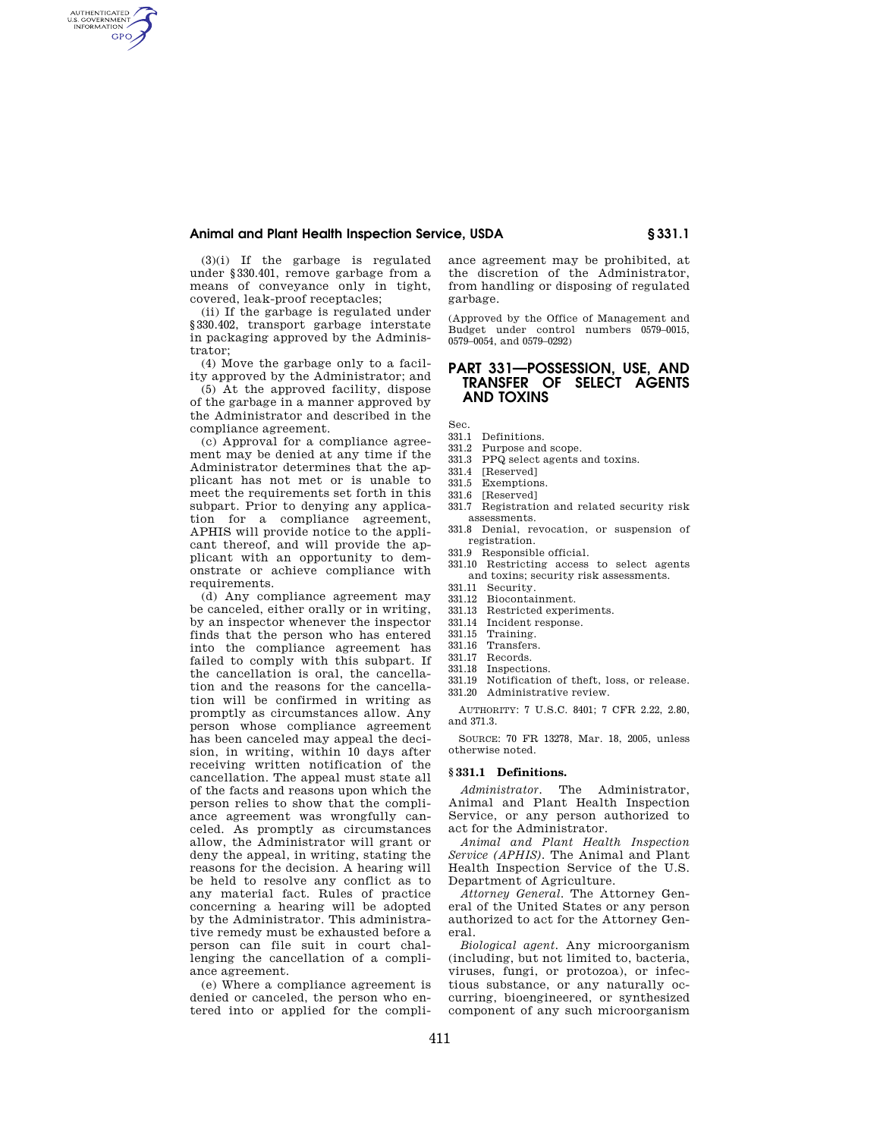(3)(i) If the garbage is regulated under §330.401, remove garbage from a means of conveyance only in tight, covered, leak-proof receptacles;

AUTHENTICATED<br>U.S. GOVERNMENT<br>INFORMATION **GPO** 

> (ii) If the garbage is regulated under §330.402, transport garbage interstate in packaging approved by the Administrator;

> (4) Move the garbage only to a facility approved by the Administrator; and

> (5) At the approved facility, dispose of the garbage in a manner approved by the Administrator and described in the compliance agreement.

> (c) Approval for a compliance agreement may be denied at any time if the Administrator determines that the applicant has not met or is unable to meet the requirements set forth in this subpart. Prior to denying any application for a compliance agreement, APHIS will provide notice to the applicant thereof, and will provide the applicant with an opportunity to demonstrate or achieve compliance with requirements.

> (d) Any compliance agreement may be canceled, either orally or in writing, by an inspector whenever the inspector finds that the person who has entered into the compliance agreement has failed to comply with this subpart. If the cancellation is oral, the cancellation and the reasons for the cancellation will be confirmed in writing as promptly as circumstances allow. Any person whose compliance agreement has been canceled may appeal the decision, in writing, within 10 days after receiving written notification of the cancellation. The appeal must state all of the facts and reasons upon which the person relies to show that the compliance agreement was wrongfully canceled. As promptly as circumstances allow, the Administrator will grant or deny the appeal, in writing, stating the reasons for the decision. A hearing will be held to resolve any conflict as to any material fact. Rules of practice concerning a hearing will be adopted by the Administrator. This administrative remedy must be exhausted before a person can file suit in court challenging the cancellation of a compliance agreement.

(e) Where a compliance agreement is denied or canceled, the person who entered into or applied for the compliance agreement may be prohibited, at the discretion of the Administrator, from handling or disposing of regulated garbage.

(Approved by the Office of Management and Budget under control numbers 0579–0015, 0579–0054, and 0579–0292)

# **PART 331—POSSESSION, USE, AND TRANSFER OF SELECT AGENTS AND TOXINS**

Sec.

331.1 Definitions.<br>331.2 Purpose and Purpose and scope.

- 331.3 PPQ select agents and toxins.
- 331.4 [Reserved]
- 331.5 Exemptions.
- 331.6 [Reserved]
- 331.7 Registration and related security risk assessments.
- 331.8 Denial, revocation, or suspension of registration.
- 331.9 Responsible official.
- 331.10 Restricting access to select agents and toxins; security risk assessments.
- 331.11 Security.
- 331.12 Biocontainment.
- 331.13 Restricted experiments.
- 331.14 Incident response.
- 331.15 Training.
- 331.16 Transfers.
- 331.17 Records.
- 331.18 Inspections.

331.19 Notification of theft, loss, or release. 331.20 Administrative review.

AUTHORITY: 7 U.S.C. 8401; 7 CFR 2.22, 2.80, and 371.3.

SOURCE: 70 FR 13278, Mar. 18, 2005, unless otherwise noted.

#### **§ 331.1 Definitions.**

*Administrator.* The Administrator, Animal and Plant Health Inspection Service, or any person authorized to act for the Administrator.

*Animal and Plant Health Inspection Service (APHIS).* The Animal and Plant Health Inspection Service of the U.S. Department of Agriculture.

*Attorney General.* The Attorney General of the United States or any person authorized to act for the Attorney General.

*Biological agent.* Any microorganism (including, but not limited to, bacteria, viruses, fungi, or protozoa), or infectious substance, or any naturally occurring, bioengineered, or synthesized component of any such microorganism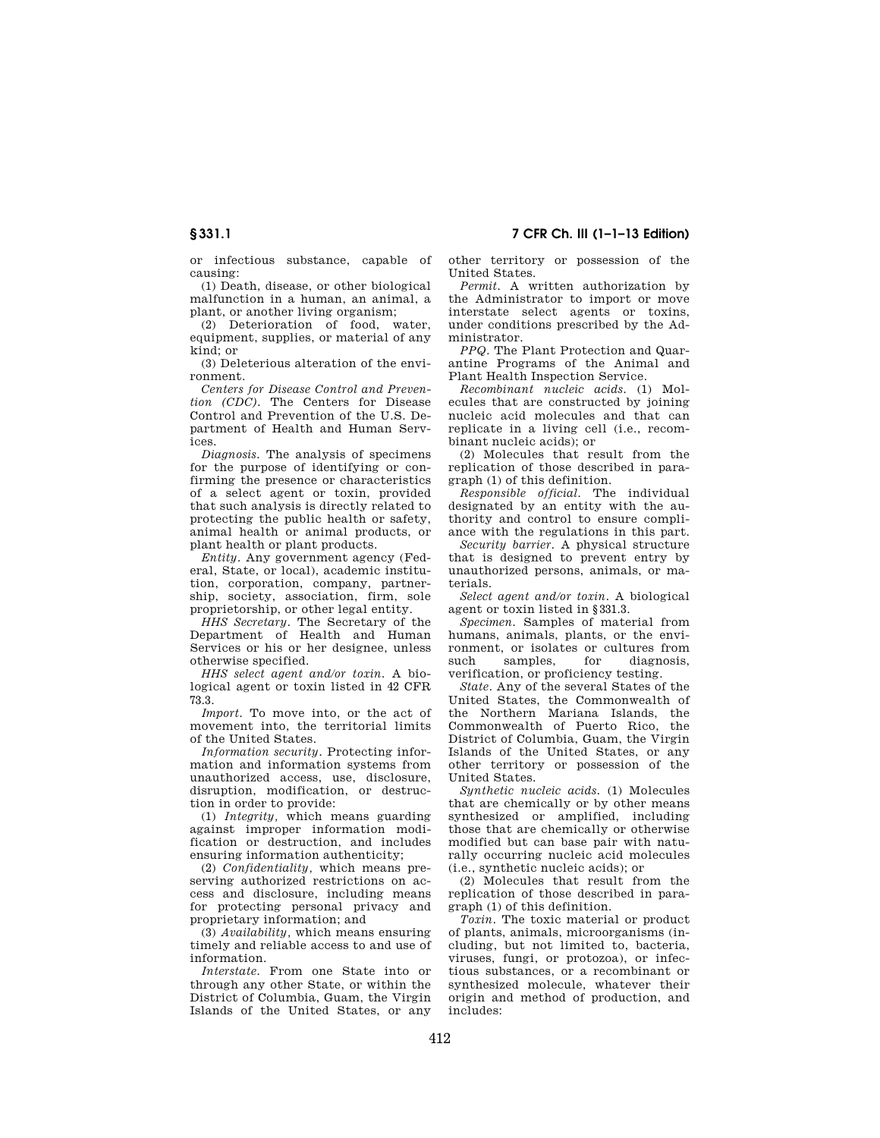or infectious substance, capable of causing:

(1) Death, disease, or other biological malfunction in a human, an animal, a plant, or another living organism;

(2) Deterioration of food, water, equipment, supplies, or material of any kind; or

(3) Deleterious alteration of the environment.

*Centers for Disease Control and Prevention (CDC).* The Centers for Disease Control and Prevention of the U.S. Department of Health and Human Services.

*Diagnosis.* The analysis of specimens for the purpose of identifying or confirming the presence or characteristics of a select agent or toxin, provided that such analysis is directly related to protecting the public health or safety, animal health or animal products, or plant health or plant products.

*Entity.* Any government agency (Federal, State, or local), academic institution, corporation, company, partnership, society, association, firm, sole proprietorship, or other legal entity.

*HHS Secretary.* The Secretary of the Department of Health and Human Services or his or her designee, unless otherwise specified.

*HHS select agent and/or toxin.* A biological agent or toxin listed in 42 CFR 73.3.

*Import.* To move into, or the act of movement into, the territorial limits of the United States.

*Information security.* Protecting information and information systems from unauthorized access, use, disclosure, disruption, modification, or destruction in order to provide:

(1) *Integrity,* which means guarding against improper information modification or destruction, and includes ensuring information authenticity;

(2) *Confidentiality,* which means preserving authorized restrictions on access and disclosure, including means for protecting personal privacy and proprietary information; and

(3) *Availability,* which means ensuring timely and reliable access to and use of information.

*Interstate.* From one State into or through any other State, or within the District of Columbia, Guam, the Virgin Islands of the United States, or any other territory or possession of the United States.

*Permit.* A written authorization by the Administrator to import or move interstate select agents or toxins, under conditions prescribed by the Administrator.

*PPQ.* The Plant Protection and Quarantine Programs of the Animal and Plant Health Inspection Service.

*Recombinant nucleic acids.* (1) Molecules that are constructed by joining nucleic acid molecules and that can replicate in a living cell (i.e., recombinant nucleic acids); or

(2) Molecules that result from the replication of those described in paragraph (1) of this definition.

*Responsible official.* The individual designated by an entity with the authority and control to ensure compliance with the regulations in this part.

*Security barrier.* A physical structure that is designed to prevent entry by unauthorized persons, animals, or materials.

*Select agent and/or toxin.* A biological agent or toxin listed in §331.3.

*Specimen.* Samples of material from humans, animals, plants, or the environment, or isolates or cultures from<br>such samples, for diagnosis. samples. verification, or proficiency testing.

*State.* Any of the several States of the United States, the Commonwealth of the Northern Mariana Islands, the Commonwealth of Puerto Rico, the District of Columbia, Guam, the Virgin Islands of the United States, or any other territory or possession of the United States.

*Synthetic nucleic acids.* (1) Molecules that are chemically or by other means synthesized or amplified, including those that are chemically or otherwise modified but can base pair with naturally occurring nucleic acid molecules (i.e., synthetic nucleic acids); or

(2) Molecules that result from the replication of those described in paragraph (1) of this definition.

*Toxin.* The toxic material or product of plants, animals, microorganisms (including, but not limited to, bacteria, viruses, fungi, or protozoa), or infectious substances, or a recombinant or synthesized molecule, whatever their origin and method of production, and includes: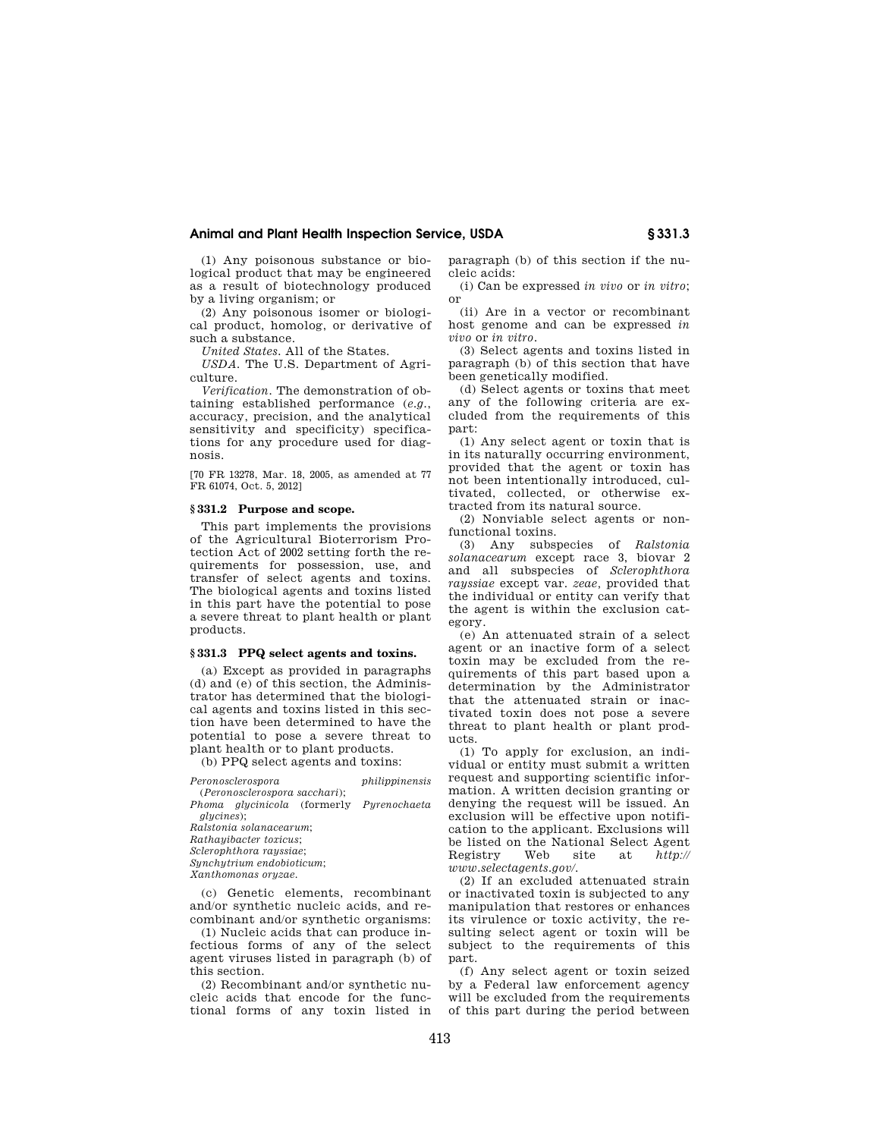(1) Any poisonous substance or biological product that may be engineered as a result of biotechnology produced by a living organism; or

(2) Any poisonous isomer or biological product, homolog, or derivative of such a substance.

*United States.* All of the States.

*USDA.* The U.S. Department of Agriculture.

*Verification.* The demonstration of obtaining established performance (*e.g.*, accuracy, precision, and the analytical sensitivity and specificity) specifications for any procedure used for diagnosis.

[70 FR 13278, Mar. 18, 2005, as amended at 77 FR 61074, Oct. 5, 2012]

#### **§ 331.2 Purpose and scope.**

This part implements the provisions of the Agricultural Bioterrorism Protection Act of 2002 setting forth the requirements for possession, use, and transfer of select agents and toxins. The biological agents and toxins listed in this part have the potential to pose a severe threat to plant health or plant products.

# **§ 331.3 PPQ select agents and toxins.**

(a) Except as provided in paragraphs (d) and (e) of this section, the Administrator has determined that the biological agents and toxins listed in this section have been determined to have the potential to pose a severe threat to plant health or to plant products.

(b) PPQ select agents and toxins:

| Peronosclerospora             |  |  |  |  |  |  | philippinensis |  |  |
|-------------------------------|--|--|--|--|--|--|----------------|--|--|
| (Peronosclerospora sacchari); |  |  |  |  |  |  |                |  |  |
| --                            |  |  |  |  |  |  |                |  |  |

*Phoma glycinicola* (formerly *Pyrenochaeta glycines*);

*Ralstonia solanacearum*;

*Rathayibacter toxicus*;

*Sclerophthora rayssiae*; *Synchytrium endobioticum*;

*Xanthomonas oryzae*.

(c) Genetic elements, recombinant and/or synthetic nucleic acids, and recombinant and/or synthetic organisms:

(1) Nucleic acids that can produce infectious forms of any of the select agent viruses listed in paragraph (b) of this section.

(2) Recombinant and/or synthetic nucleic acids that encode for the functional forms of any toxin listed in paragraph (b) of this section if the nucleic acids:

(i) Can be expressed *in vivo* or *in vitro*; or

(ii) Are in a vector or recombinant host genome and can be expressed *in vivo* or *in vitro.* 

(3) Select agents and toxins listed in paragraph (b) of this section that have been genetically modified.

(d) Select agents or toxins that meet any of the following criteria are excluded from the requirements of this part:

(1) Any select agent or toxin that is in its naturally occurring environment, provided that the agent or toxin has not been intentionally introduced, cultivated, collected, or otherwise extracted from its natural source.

(2) Nonviable select agents or nonfunctional toxins.

(3) Any subspecies of *Ralstonia solanacearum* except race 3, biovar 2 and all subspecies of *Sclerophthora rayssiae* except var. *zeae,* provided that the individual or entity can verify that the agent is within the exclusion category.

(e) An attenuated strain of a select agent or an inactive form of a select toxin may be excluded from the requirements of this part based upon a determination by the Administrator that the attenuated strain or inactivated toxin does not pose a severe threat to plant health or plant products.

(1) To apply for exclusion, an individual or entity must submit a written request and supporting scientific information. A written decision granting or denying the request will be issued. An exclusion will be effective upon notification to the applicant. Exclusions will be listed on the National Select Agent<br>Registry Web site at http:// Registry Web site at *www.selectagents.gov/*.

(2) If an excluded attenuated strain or inactivated toxin is subjected to any manipulation that restores or enhances its virulence or toxic activity, the resulting select agent or toxin will be subject to the requirements of this part.

(f) Any select agent or toxin seized by a Federal law enforcement agency will be excluded from the requirements of this part during the period between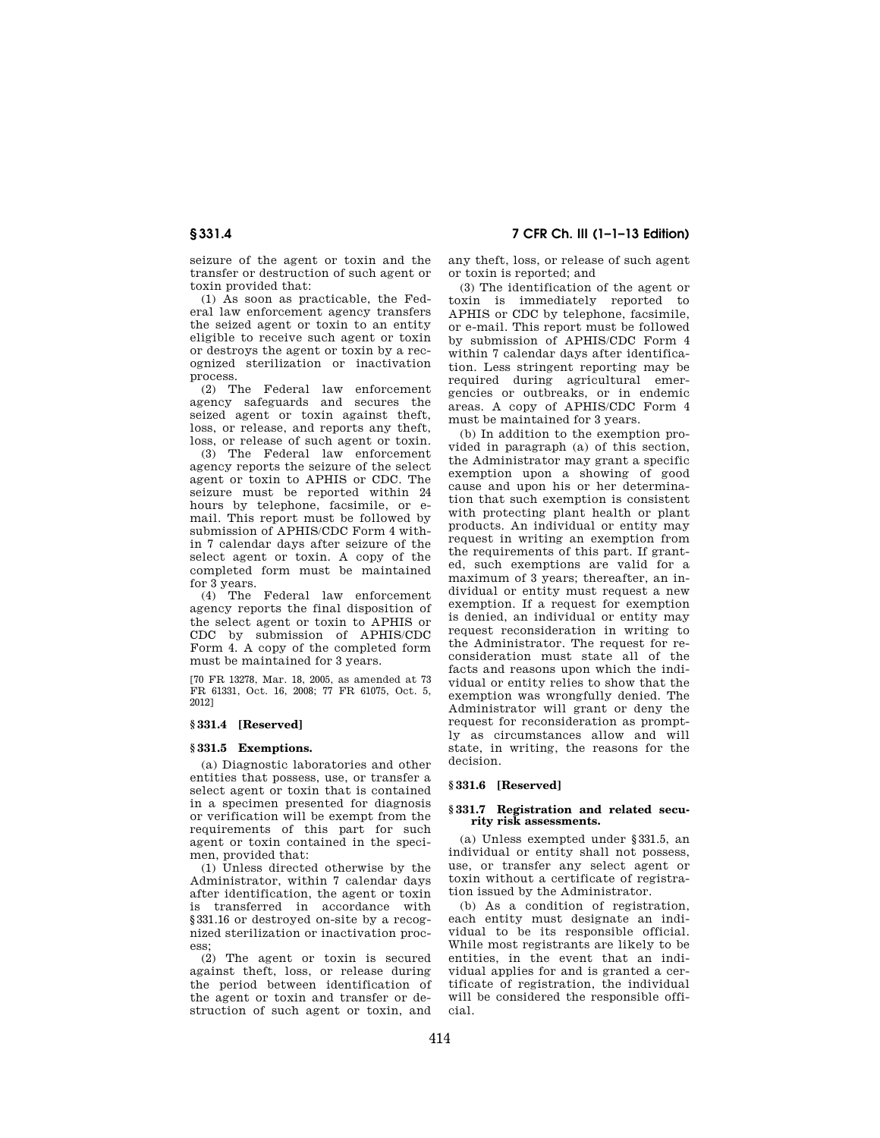seizure of the agent or toxin and the transfer or destruction of such agent or toxin provided that:

(1) As soon as practicable, the Federal law enforcement agency transfers the seized agent or toxin to an entity eligible to receive such agent or toxin or destroys the agent or toxin by a recognized sterilization or inactivation process.

(2) The Federal law enforcement agency safeguards and secures the seized agent or toxin against theft, loss, or release, and reports any theft, loss, or release of such agent or toxin.

(3) The Federal law enforcement agency reports the seizure of the select agent or toxin to APHIS or CDC. The seizure must be reported within 24 hours by telephone, facsimile, or email. This report must be followed by submission of APHIS/CDC Form 4 within 7 calendar days after seizure of the select agent or toxin. A copy of the completed form must be maintained for 3 years.

(4) The Federal law enforcement agency reports the final disposition of the select agent or toxin to APHIS or CDC by submission of APHIS/CDC Form 4. A copy of the completed form must be maintained for 3 years.

[70 FR 13278, Mar. 18, 2005, as amended at 73 FR 61331, Oct. 16, 2008; 77 FR 61075, Oct. 5, 2012]

# **§ 331.4 [Reserved]**

# **§ 331.5 Exemptions.**

(a) Diagnostic laboratories and other entities that possess, use, or transfer a select agent or toxin that is contained in a specimen presented for diagnosis or verification will be exempt from the requirements of this part for such agent or toxin contained in the specimen, provided that:

(1) Unless directed otherwise by the Administrator, within 7 calendar days after identification, the agent or toxin is transferred in accordance with §331.16 or destroyed on-site by a recognized sterilization or inactivation process;

(2) The agent or toxin is secured against theft, loss, or release during the period between identification of the agent or toxin and transfer or destruction of such agent or toxin, and

**§ 331.4 7 CFR Ch. III (1–1–13 Edition)** 

any theft, loss, or release of such agent or toxin is reported; and

(3) The identification of the agent or toxin is immediately reported to APHIS or CDC by telephone, facsimile, or e-mail. This report must be followed by submission of APHIS/CDC Form 4 within 7 calendar days after identification. Less stringent reporting may be required during agricultural emergencies or outbreaks, or in endemic areas. A copy of APHIS/CDC Form 4 must be maintained for 3 years.

(b) In addition to the exemption provided in paragraph (a) of this section, the Administrator may grant a specific exemption upon a showing of good cause and upon his or her determination that such exemption is consistent with protecting plant health or plant products. An individual or entity may request in writing an exemption from the requirements of this part. If granted, such exemptions are valid for a maximum of 3 years; thereafter, an individual or entity must request a new exemption. If a request for exemption is denied, an individual or entity may request reconsideration in writing to the Administrator. The request for reconsideration must state all of the facts and reasons upon which the individual or entity relies to show that the exemption was wrongfully denied. The Administrator will grant or deny the request for reconsideration as promptly as circumstances allow and will state, in writing, the reasons for the decision.

# **§ 331.6 [Reserved]**

#### **§ 331.7 Registration and related security risk assessments.**

(a) Unless exempted under §331.5, an individual or entity shall not possess, use, or transfer any select agent or toxin without a certificate of registration issued by the Administrator.

(b) As a condition of registration, each entity must designate an individual to be its responsible official. While most registrants are likely to be entities, in the event that an individual applies for and is granted a certificate of registration, the individual will be considered the responsible official.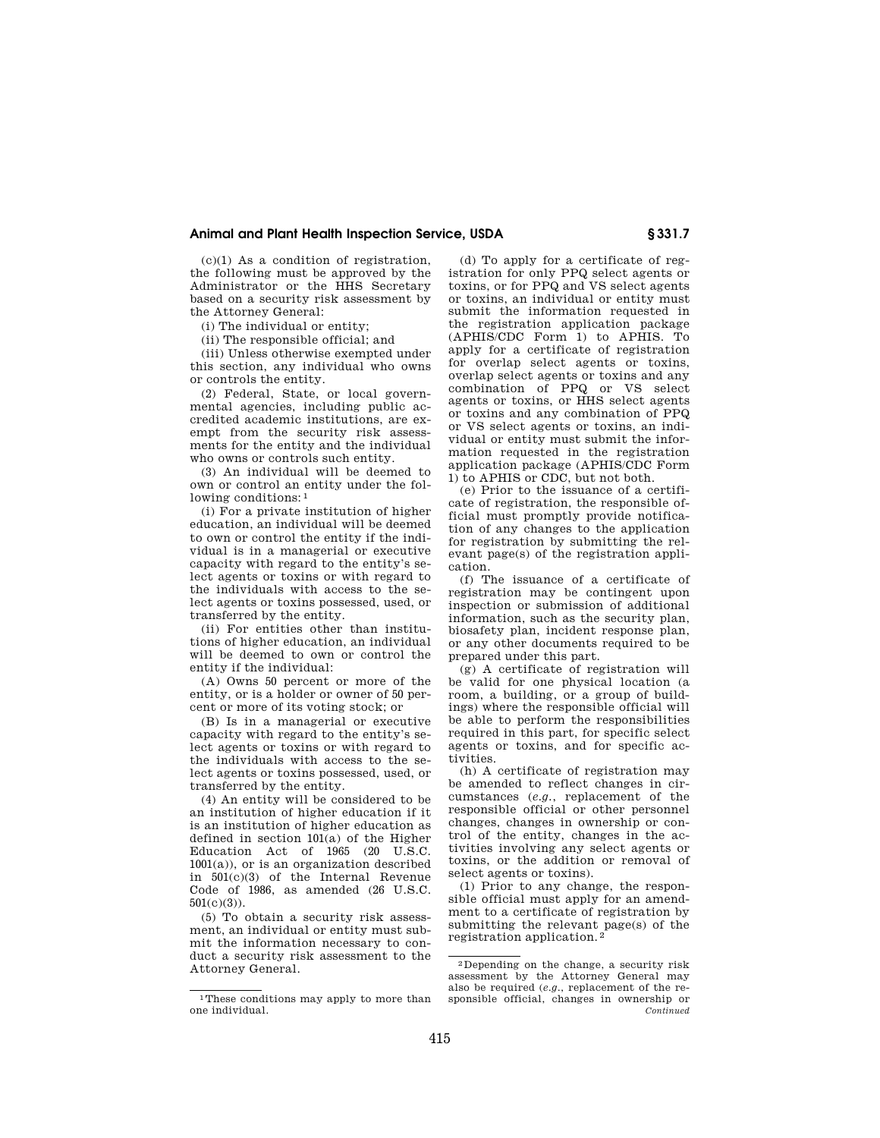(c)(1) As a condition of registration, the following must be approved by the Administrator or the HHS Secretary based on a security risk assessment by the Attorney General:

(i) The individual or entity;

(ii) The responsible official; and

(iii) Unless otherwise exempted under this section, any individual who owns or controls the entity.

(2) Federal, State, or local governmental agencies, including public accredited academic institutions, are exempt from the security risk assessments for the entity and the individual who owns or controls such entity.

(3) An individual will be deemed to own or control an entity under the following conditions: 1

(i) For a private institution of higher education, an individual will be deemed to own or control the entity if the individual is in a managerial or executive capacity with regard to the entity's select agents or toxins or with regard to the individuals with access to the select agents or toxins possessed, used, or transferred by the entity.

(ii) For entities other than institutions of higher education, an individual will be deemed to own or control the entity if the individual:

(A) Owns 50 percent or more of the entity, or is a holder or owner of 50 percent or more of its voting stock; or

(B) Is in a managerial or executive capacity with regard to the entity's select agents or toxins or with regard to the individuals with access to the select agents or toxins possessed, used, or transferred by the entity.

(4) An entity will be considered to be an institution of higher education if it is an institution of higher education as defined in section 101(a) of the Higher Education Act of 1965 (20 U.S.C.  $1001(a)$ , or is an organization described in 501(c)(3) of the Internal Revenue Code of 1986, as amended (26 U.S.C. 501(c)(3)).

(5) To obtain a security risk assessment, an individual or entity must submit the information necessary to conduct a security risk assessment to the Attorney General.

(d) To apply for a certificate of registration for only PPQ select agents or toxins, or for PPQ and VS select agents or toxins, an individual or entity must submit the information requested in the registration application package (APHIS/CDC Form 1) to APHIS. To apply for a certificate of registration for overlap select agents or toxins, overlap select agents or toxins and any combination of PPQ or VS select agents or toxins, or HHS select agents or toxins and any combination of PPQ or VS select agents or toxins, an individual or entity must submit the information requested in the registration application package (APHIS/CDC Form 1) to APHIS or CDC, but not both.

(e) Prior to the issuance of a certificate of registration, the responsible official must promptly provide notification of any changes to the application for registration by submitting the relevant page(s) of the registration application.

(f) The issuance of a certificate of registration may be contingent upon inspection or submission of additional information, such as the security plan, biosafety plan, incident response plan, or any other documents required to be prepared under this part.

(g) A certificate of registration will be valid for one physical location (a room, a building, or a group of buildings) where the responsible official will be able to perform the responsibilities required in this part, for specific select agents or toxins, and for specific activities.

(h) A certificate of registration may be amended to reflect changes in circumstances (*e.g.*, replacement of the responsible official or other personnel changes, changes in ownership or control of the entity, changes in the activities involving any select agents or toxins, or the addition or removal of select agents or toxins).

(1) Prior to any change, the responsible official must apply for an amendment to a certificate of registration by submitting the relevant page(s) of the registration application. 2

<sup>1</sup>These conditions may apply to more than one individual.

<sup>2</sup> Depending on the change, a security risk assessment by the Attorney General may also be required (*e.g.*, replacement of the responsible official, changes in ownership or *Continued*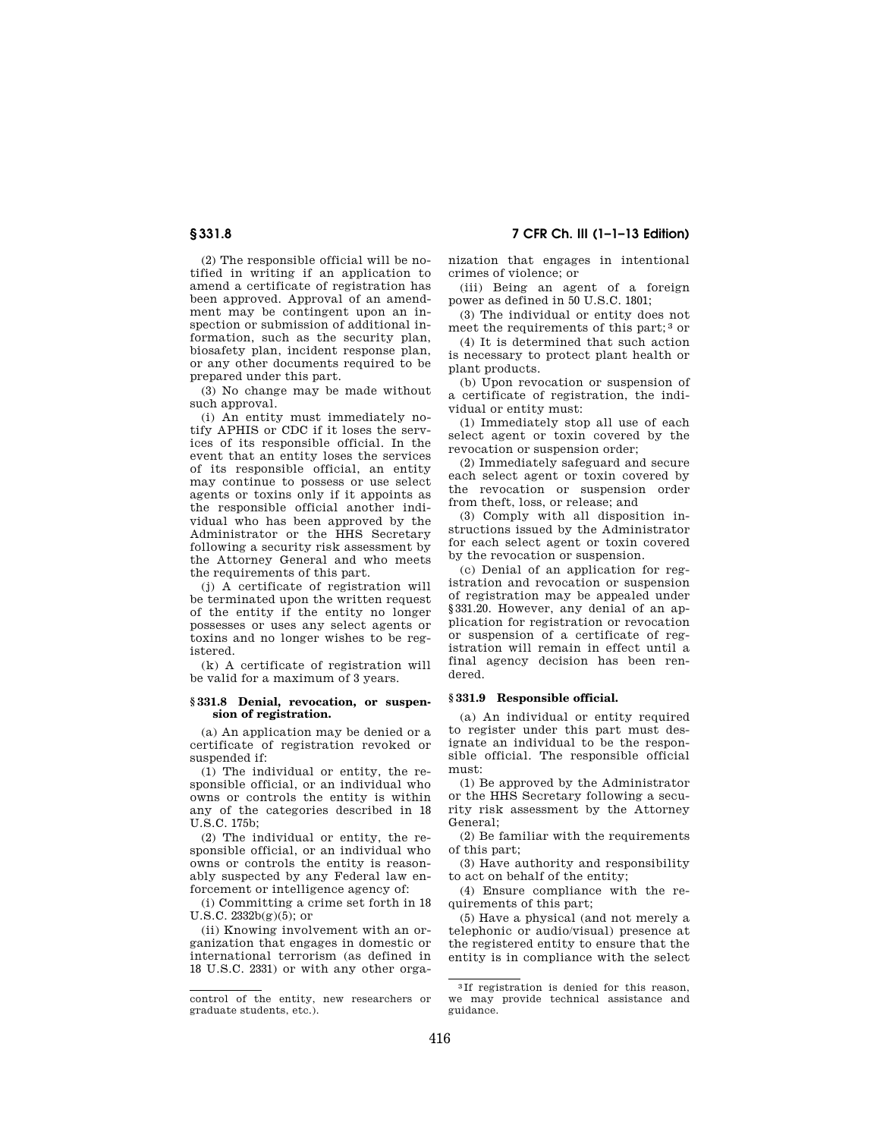(2) The responsible official will be notified in writing if an application to amend a certificate of registration has been approved. Approval of an amendment may be contingent upon an inspection or submission of additional information, such as the security plan, biosafety plan, incident response plan, or any other documents required to be prepared under this part.

(3) No change may be made without such approval.

(i) An entity must immediately notify APHIS or CDC if it loses the services of its responsible official. In the event that an entity loses the services of its responsible official, an entity may continue to possess or use select agents or toxins only if it appoints as the responsible official another individual who has been approved by the Administrator or the HHS Secretary following a security risk assessment by the Attorney General and who meets the requirements of this part.

(j) A certificate of registration will be terminated upon the written request of the entity if the entity no longer possesses or uses any select agents or toxins and no longer wishes to be registered.

(k) A certificate of registration will be valid for a maximum of 3 years.

#### **§ 331.8 Denial, revocation, or suspension of registration.**

(a) An application may be denied or a certificate of registration revoked or suspended if:

(1) The individual or entity, the responsible official, or an individual who owns or controls the entity is within any of the categories described in 18 U.S.C. 175b;

(2) The individual or entity, the responsible official, or an individual who owns or controls the entity is reasonably suspected by any Federal law enforcement or intelligence agency of:

(i) Committing a crime set forth in 18 U.S.C. 2332b(g)(5); or

(ii) Knowing involvement with an organization that engages in domestic or international terrorism (as defined in 18 U.S.C. 2331) or with any other organization that engages in intentional crimes of violence; or

(iii) Being an agent of a foreign power as defined in 50 U.S.C. 1801;

(3) The individual or entity does not meet the requirements of this part; 3 or

(4) It is determined that such action is necessary to protect plant health or plant products.

(b) Upon revocation or suspension of a certificate of registration, the individual or entity must:

(1) Immediately stop all use of each select agent or toxin covered by the revocation or suspension order;

(2) Immediately safeguard and secure each select agent or toxin covered by the revocation or suspension order from theft, loss, or release; and

(3) Comply with all disposition instructions issued by the Administrator for each select agent or toxin covered by the revocation or suspension.

(c) Denial of an application for registration and revocation or suspension of registration may be appealed under §331.20. However, any denial of an application for registration or revocation or suspension of a certificate of registration will remain in effect until a final agency decision has been rendered.

### **§ 331.9 Responsible official.**

(a) An individual or entity required to register under this part must designate an individual to be the responsible official. The responsible official must:

(1) Be approved by the Administrator or the HHS Secretary following a security risk assessment by the Attorney General;

(2) Be familiar with the requirements of this part;

(3) Have authority and responsibility to act on behalf of the entity;

(4) Ensure compliance with the requirements of this part;

(5) Have a physical (and not merely a telephonic or audio/visual) presence at the registered entity to ensure that the entity is in compliance with the select

control of the entity, new researchers or graduate students, etc.).

<sup>3</sup> If registration is denied for this reason, we may provide technical assistance and guidance.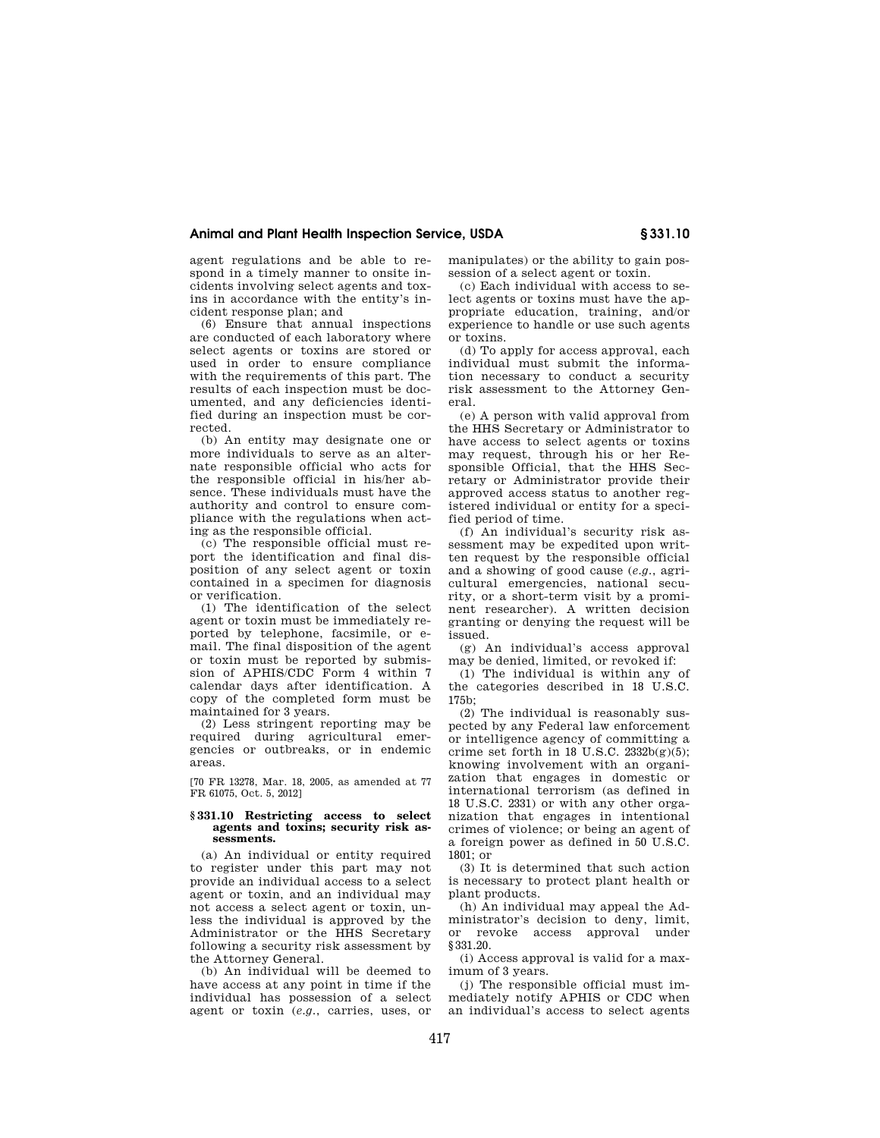agent regulations and be able to respond in a timely manner to onsite incidents involving select agents and toxins in accordance with the entity's incident response plan; and

(6) Ensure that annual inspections are conducted of each laboratory where select agents or toxins are stored or used in order to ensure compliance with the requirements of this part. The results of each inspection must be documented, and any deficiencies identified during an inspection must be corrected.

(b) An entity may designate one or more individuals to serve as an alternate responsible official who acts for the responsible official in his/her absence. These individuals must have the authority and control to ensure compliance with the regulations when acting as the responsible official.

(c) The responsible official must report the identification and final disposition of any select agent or toxin contained in a specimen for diagnosis or verification.

(1) The identification of the select agent or toxin must be immediately reported by telephone, facsimile, or email. The final disposition of the agent or toxin must be reported by submission of APHIS/CDC Form 4 within 7 calendar days after identification. A copy of the completed form must be maintained for 3 years.

(2) Less stringent reporting may be required during agricultural emergencies or outbreaks, or in endemic areas.

[70 FR 13278, Mar. 18, 2005, as amended at 77 FR 61075, Oct. 5, 2012]

#### **§ 331.10 Restricting access to select agents and toxins; security risk assessments.**

(a) An individual or entity required to register under this part may not provide an individual access to a select agent or toxin, and an individual may not access a select agent or toxin, unless the individual is approved by the Administrator or the HHS Secretary following a security risk assessment by the Attorney General.

(b) An individual will be deemed to have access at any point in time if the individual has possession of a select agent or toxin (*e.g.*, carries, uses, or

manipulates) or the ability to gain possession of a select agent or toxin.

(c) Each individual with access to select agents or toxins must have the appropriate education, training, and/or experience to handle or use such agents or toxins.

(d) To apply for access approval, each individual must submit the information necessary to conduct a security risk assessment to the Attorney General.

(e) A person with valid approval from the HHS Secretary or Administrator to have access to select agents or toxins may request, through his or her Responsible Official, that the HHS Secretary or Administrator provide their approved access status to another registered individual or entity for a specified period of time.

(f) An individual's security risk assessment may be expedited upon written request by the responsible official and a showing of good cause (*e.g.*, agricultural emergencies, national security, or a short-term visit by a prominent researcher). A written decision granting or denying the request will be issued.

(g) An individual's access approval may be denied, limited, or revoked if:

(1) The individual is within any of the categories described in 18 U.S.C.  $175h$ 

(2) The individual is reasonably suspected by any Federal law enforcement or intelligence agency of committing a crime set forth in 18 U.S.C.  $2332b(g)(5)$ ; knowing involvement with an organization that engages in domestic or international terrorism (as defined in 18 U.S.C. 2331) or with any other organization that engages in intentional crimes of violence; or being an agent of a foreign power as defined in 50 U.S.C.  $1801 \cdot \text{or}$ 

(3) It is determined that such action is necessary to protect plant health or plant products.

(h) An individual may appeal the Administrator's decision to deny, limit, or revoke access approval under §331.20.

(i) Access approval is valid for a maximum of 3 years.

(j) The responsible official must immediately notify APHIS or CDC when an individual's access to select agents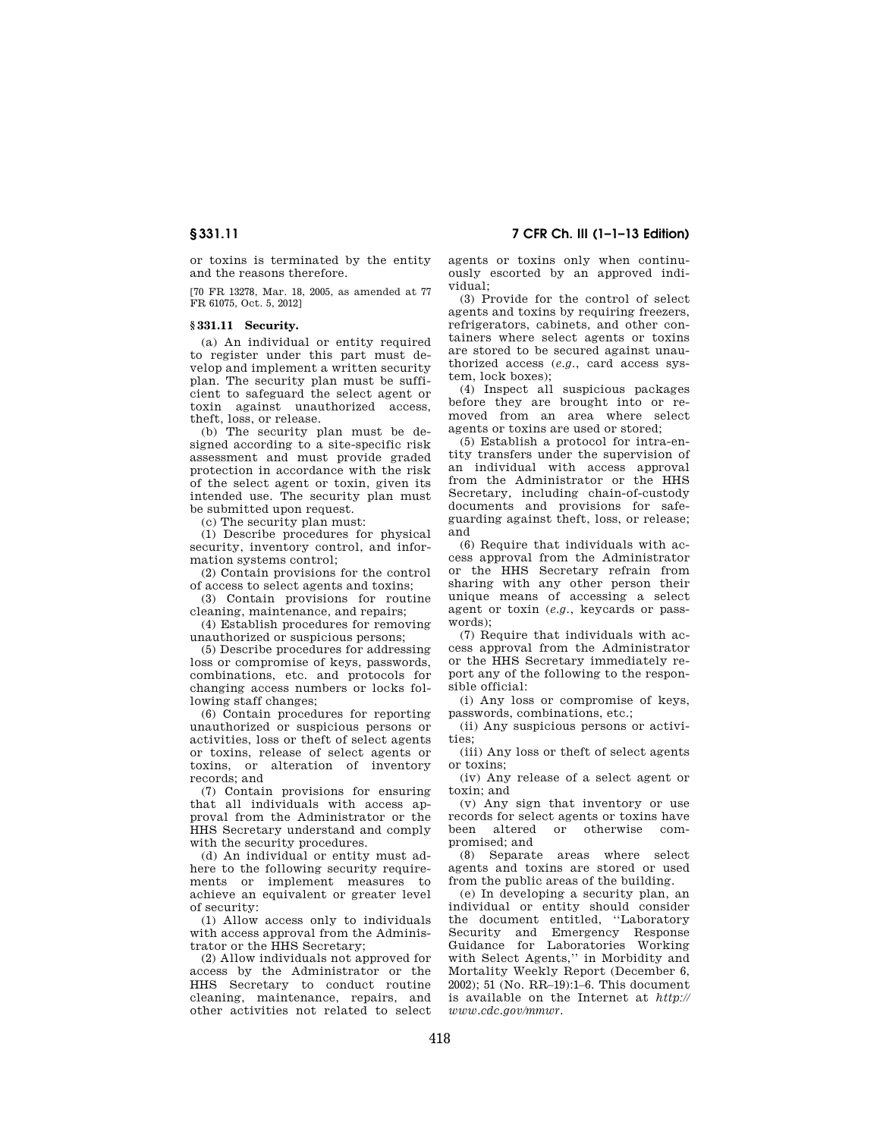or toxins is terminated by the entity and the reasons therefore.

[70 FR 13278, Mar. 18, 2005, as amended at 77 FR 61075, Oct. 5, 2012]

# **§ 331.11 Security.**

(a) An individual or entity required to register under this part must develop and implement a written security plan. The security plan must be sufficient to safeguard the select agent or toxin against unauthorized access, theft, loss, or release.

(b) The security plan must be designed according to a site-specific risk assessment and must provide graded protection in accordance with the risk of the select agent or toxin, given its intended use. The security plan must be submitted upon request.

(c) The security plan must:

(1) Describe procedures for physical security, inventory control, and information systems control;

(2) Contain provisions for the control of access to select agents and toxins;

(3) Contain provisions for routine cleaning, maintenance, and repairs;

(4) Establish procedures for removing unauthorized or suspicious persons;

(5) Describe procedures for addressing loss or compromise of keys, passwords, combinations, etc. and protocols for changing access numbers or locks following staff changes;

(6) Contain procedures for reporting unauthorized or suspicious persons or activities, loss or theft of select agents or toxins, release of select agents or toxins, or alteration of inventory records; and

(7) Contain provisions for ensuring that all individuals with access approval from the Administrator or the HHS Secretary understand and comply with the security procedures.

(d) An individual or entity must adhere to the following security requirements or implement measures to achieve an equivalent or greater level of security:

(1) Allow access only to individuals with access approval from the Administrator or the HHS Secretary;

(2) Allow individuals not approved for access by the Administrator or the HHS Secretary to conduct routine cleaning, maintenance, repairs, and other activities not related to select

**§ 331.11 7 CFR Ch. III (1–1–13 Edition)** 

agents or toxins only when continuously escorted by an approved individual;

(3) Provide for the control of select agents and toxins by requiring freezers, refrigerators, cabinets, and other containers where select agents or toxins are stored to be secured against unauthorized access (*e.g.*, card access system, lock boxes);

(4) Inspect all suspicious packages before they are brought into or removed from an area where select agents or toxins are used or stored;

(5) Establish a protocol for intra-entity transfers under the supervision of an individual with access approval from the Administrator or the HHS Secretary, including chain-of-custody documents and provisions for safeguarding against theft, loss, or release; and

(6) Require that individuals with access approval from the Administrator or the HHS Secretary refrain from sharing with any other person their unique means of accessing a select agent or toxin (*e.g.*, keycards or passwords);

(7) Require that individuals with access approval from the Administrator or the HHS Secretary immediately report any of the following to the responsible official:

(i) Any loss or compromise of keys, passwords, combinations, etc.;

(ii) Any suspicious persons or activities;

(iii) Any loss or theft of select agents or toxins;

(iv) Any release of a select agent or toxin; and

(v) Any sign that inventory or use records for select agents or toxins have been altered or otherwise compromised; and

(8) Separate areas where select agents and toxins are stored or used from the public areas of the building.

(e) In developing a security plan, an individual or entity should consider the document entitled, ''Laboratory Security and Emergency Response Guidance for Laboratories Working with Select Agents,'' in Morbidity and Mortality Weekly Report (December 6, 2002); 51 (No. RR–19):1–6. This document is available on the Internet at *http:// www.cdc.gov/mmwr.*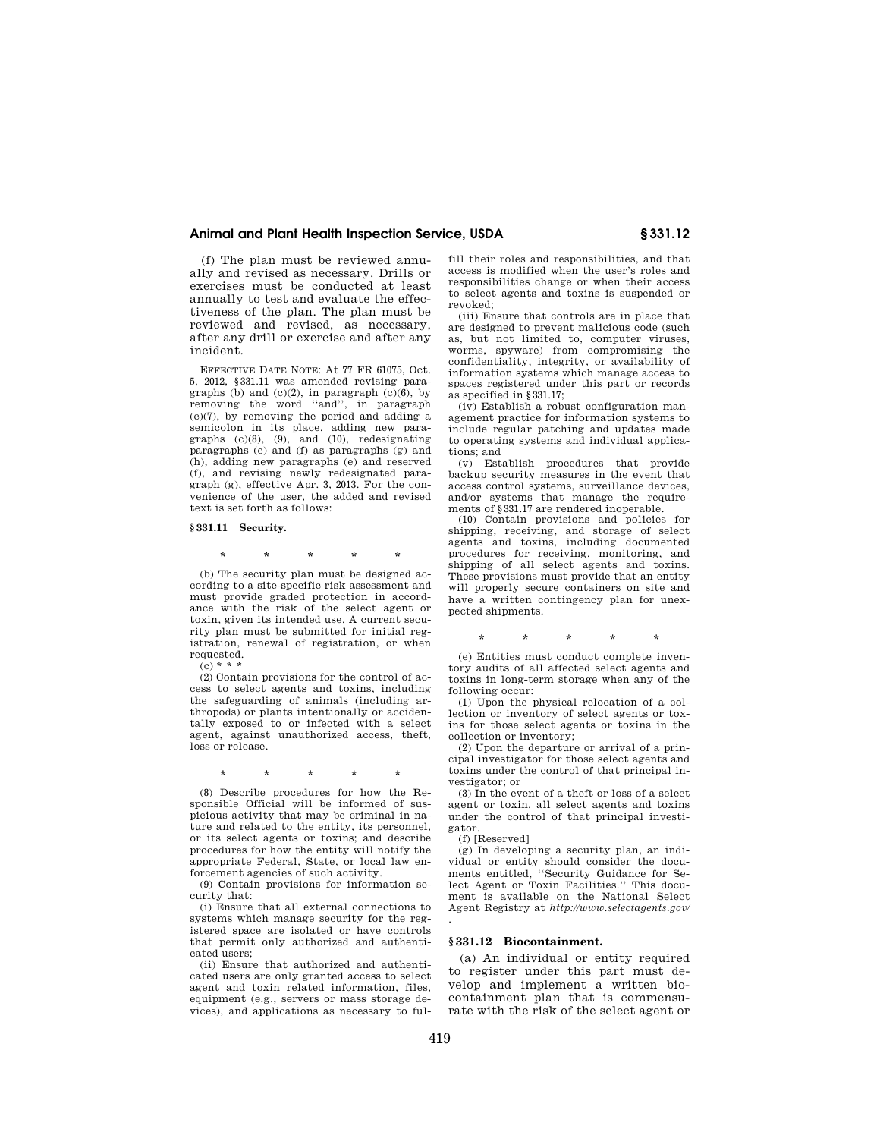(f) The plan must be reviewed annually and revised as necessary. Drills or exercises must be conducted at least annually to test and evaluate the effectiveness of the plan. The plan must be reviewed and revised, as necessary, after any drill or exercise and after any incident.

EFFECTIVE DATE NOTE: At 77 FR 61075, Oct. 5, 2012, §331.11 was amended revising paragraphs (b) and  $(c)(2)$ , in paragraph  $(c)(6)$ , by removing the word ''and'', in paragraph (c)(7), by removing the period and adding a semicolon in its place, adding new paragraphs (c)(8), (9), and (10), redesignating paragraphs (e) and (f) as paragraphs (g) and (h), adding new paragraphs (e) and reserved (f), and revising newly redesignated paragraph (g), effective Apr. 3, 2013. For the convenience of the user, the added and revised text is set forth as follows:

# **§ 331.11 Security.**

\* \* \* \* \*

(b) The security plan must be designed according to a site-specific risk assessment and must provide graded protection in accordance with the risk of the select agent or toxin, given its intended use. A current security plan must be submitted for initial registration, renewal of registration, or when requested.

 $(c) * :$ 

(2) Contain provisions for the control of access to select agents and toxins, including the safeguarding of animals (including arthropods) or plants intentionally or accidentally exposed to or infected with a select agent, against unauthorized access, theft, loss or release.

\* \* \* \* \*

(8) Describe procedures for how the Responsible Official will be informed of suspicious activity that may be criminal in nature and related to the entity, its personnel, or its select agents or toxins; and describe procedures for how the entity will notify the appropriate Federal, State, or local law enforcement agencies of such activity.

(9) Contain provisions for information security that:

(i) Ensure that all external connections to systems which manage security for the registered space are isolated or have controls that permit only authorized and authenticated users;

(ii) Ensure that authorized and authenticated users are only granted access to select agent and toxin related information, files, equipment (e.g., servers or mass storage devices), and applications as necessary to fulfill their roles and responsibilities, and that access is modified when the user's roles and responsibilities change or when their access to select agents and toxins is suspended or revoked;

(iii) Ensure that controls are in place that are designed to prevent malicious code (such as, but not limited to, computer viruses, worms, spyware) from compromising the confidentiality, integrity, or availability of information systems which manage access to spaces registered under this part or records as specified in §331.17;

(iv) Establish a robust configuration management practice for information systems to include regular patching and updates made to operating systems and individual applications; and

(v) Establish procedures that provide backup security measures in the event that access control systems, surveillance devices, and/or systems that manage the requirements of §331.17 are rendered inoperable.

(10) Contain provisions and policies for shipping, receiving, and storage of select agents and toxins, including documented procedures for receiving, monitoring, and shipping of all select agents and toxins. These provisions must provide that an entity will properly secure containers on site and have a written contingency plan for unexpected shipments.

#### \* \* \* \* \*

(e) Entities must conduct complete inventory audits of all affected select agents and toxins in long-term storage when any of the following occur:

(1) Upon the physical relocation of a collection or inventory of select agents or toxins for those select agents or toxins in the collection or inventory;

(2) Upon the departure or arrival of a principal investigator for those select agents and toxins under the control of that principal investigator; or

(3) In the event of a theft or loss of a select agent or toxin, all select agents and toxins under the control of that principal investigator.

(f) [Reserved]

(g) In developing a security plan, an individual or entity should consider the documents entitled, ''Security Guidance for Select Agent or Toxin Facilities.'' This document is available on the National Select Agent Registry at *http://www.selectagents.gov/*  .

#### **§ 331.12 Biocontainment.**

(a) An individual or entity required to register under this part must develop and implement a written biocontainment plan that is commensurate with the risk of the select agent or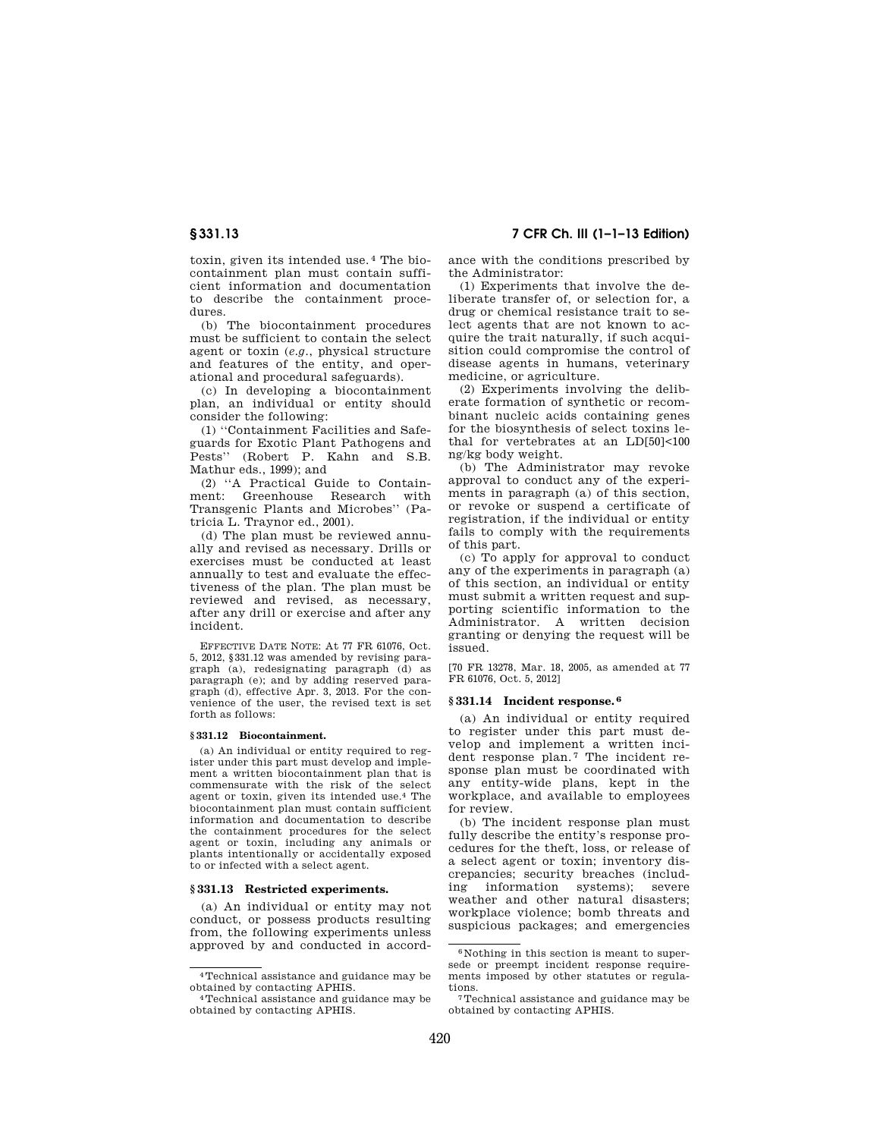**§ 331.13 7 CFR Ch. III (1–1–13 Edition)** 

toxin, given its intended use. 4 The biocontainment plan must contain sufficient information and documentation to describe the containment procedures.

(b) The biocontainment procedures must be sufficient to contain the select agent or toxin (*e.g.*, physical structure and features of the entity, and operational and procedural safeguards).

(c) In developing a biocontainment plan, an individual or entity should consider the following:

(1) ''Containment Facilities and Safeguards for Exotic Plant Pathogens and Pests'' (Robert P. Kahn and S.B. Mathur eds., 1999); and

(2) ''A Practical Guide to Containment: Greenhouse Research with Transgenic Plants and Microbes'' (Patricia L. Traynor ed., 2001).

(d) The plan must be reviewed annually and revised as necessary. Drills or exercises must be conducted at least annually to test and evaluate the effectiveness of the plan. The plan must be reviewed and revised, as necessary, after any drill or exercise and after any incident.

EFFECTIVE DATE NOTE: At 77 FR 61076, Oct. 5, 2012, §331.12 was amended by revising paragraph (a), redesignating paragraph (d) as paragraph (e); and by adding reserved paragraph (d), effective Apr. 3, 2013. For the convenience of the user, the revised text is set forth as follows:

### **§ 331.12 Biocontainment.**

(a) An individual or entity required to register under this part must develop and implement a written biocontainment plan that is commensurate with the risk of the select agent or toxin, given its intended use.4 The biocontainment plan must contain sufficient information and documentation to describe the containment procedures for the select agent or toxin, including any animals or plants intentionally or accidentally exposed to or infected with a select agent.

### **§ 331.13 Restricted experiments.**

(a) An individual or entity may not conduct, or possess products resulting from, the following experiments unless approved by and conducted in accordance with the conditions prescribed by the Administrator:

(1) Experiments that involve the deliberate transfer of, or selection for, a drug or chemical resistance trait to select agents that are not known to acquire the trait naturally, if such acquisition could compromise the control of disease agents in humans, veterinary medicine, or agriculture.

(2) Experiments involving the deliberate formation of synthetic or recombinant nucleic acids containing genes for the biosynthesis of select toxins lethal for vertebrates at an LD[50]<100 ng/kg body weight.

(b) The Administrator may revoke approval to conduct any of the experiments in paragraph (a) of this section, or revoke or suspend a certificate of registration, if the individual or entity fails to comply with the requirements of this part.

(c) To apply for approval to conduct any of the experiments in paragraph (a) of this section, an individual or entity must submit a written request and supporting scientific information to the Administrator. A written decision granting or denying the request will be issued.

[70 FR 13278, Mar. 18, 2005, as amended at 77 FR 61076, Oct. 5, 2012]

#### **§ 331.14 Incident response. 6**

(a) An individual or entity required to register under this part must develop and implement a written incident response plan.<sup>7</sup> The incident response plan must be coordinated with any entity-wide plans, kept in the workplace, and available to employees for review.

(b) The incident response plan must fully describe the entity's response procedures for the theft, loss, or release of a select agent or toxin; inventory discrepancies; security breaches (including information systems); severe weather and other natural disasters; workplace violence; bomb threats and suspicious packages; and emergencies

<sup>4</sup>Technical assistance and guidance may be obtained by contacting APHIS. 4Technical assistance and guidance may be

obtained by contacting APHIS.

<sup>6</sup> Nothing in this section is meant to supersede or preempt incident response requirements imposed by other statutes or regulations. 7Technical assistance and guidance may be

obtained by contacting APHIS.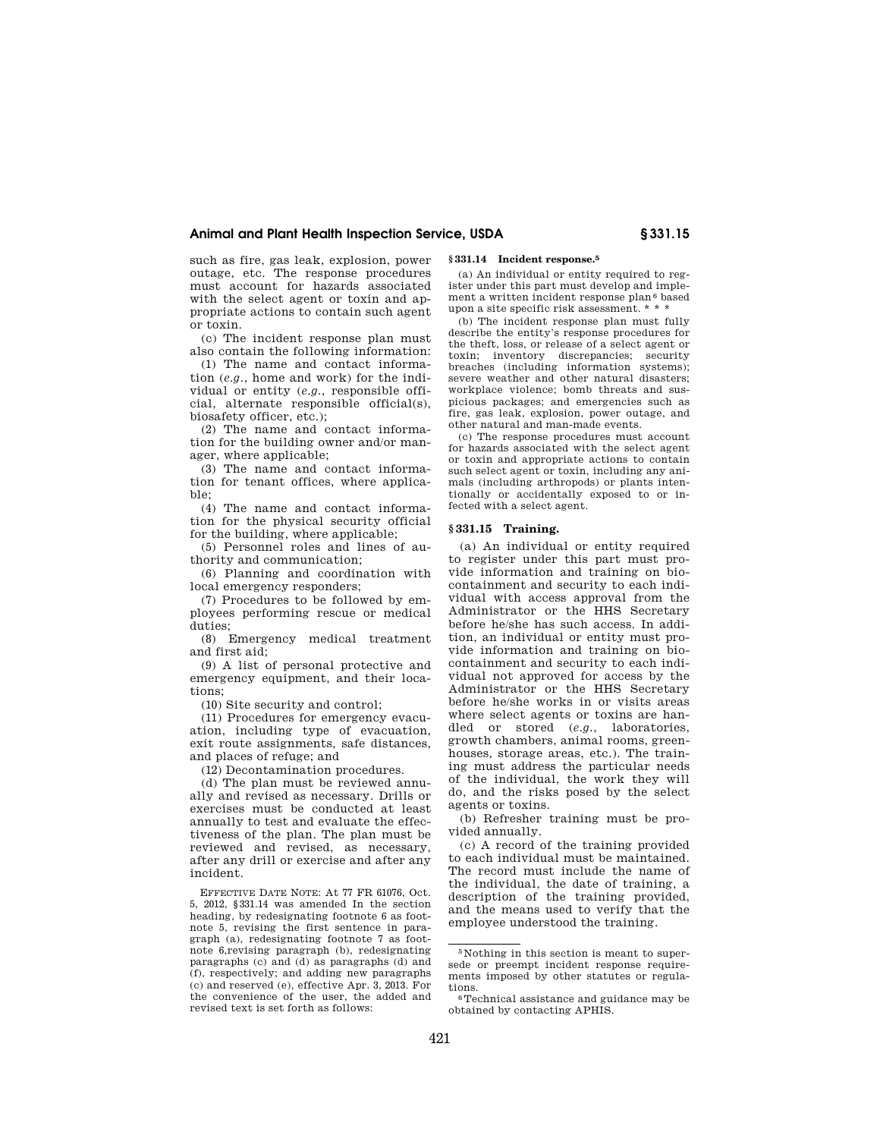such as fire, gas leak, explosion, power outage, etc. The response procedures must account for hazards associated with the select agent or toxin and appropriate actions to contain such agent or toxin.

(c) The incident response plan must also contain the following information:

(1) The name and contact information (*e.g.*, home and work) for the individual or entity (*e.g.*, responsible official, alternate responsible official(s), biosafety officer, etc.);

(2) The name and contact information for the building owner and/or manager, where applicable;

(3) The name and contact information for tenant offices, where applicable;

(4) The name and contact information for the physical security official for the building, where applicable;

(5) Personnel roles and lines of authority and communication;

(6) Planning and coordination with local emergency responders;

(7) Procedures to be followed by employees performing rescue or medical duties;

(8) Emergency medical treatment and first aid;

(9) A list of personal protective and emergency equipment, and their locations;

(10) Site security and control;

(11) Procedures for emergency evacuation, including type of evacuation, exit route assignments, safe distances, and places of refuge; and

(12) Decontamination procedures.

(d) The plan must be reviewed annually and revised as necessary. Drills or exercises must be conducted at least annually to test and evaluate the effectiveness of the plan. The plan must be reviewed and revised, as necessary, after any drill or exercise and after any incident.

EFFECTIVE DATE NOTE: At 77 FR 61076, Oct. 5, 2012, §331.14 was amended In the section heading, by redesignating footnote 6 as footnote 5, revising the first sentence in paragraph (a), redesignating footnote 7 as footnote 6,revising paragraph (b), redesignating paragraphs (c) and (d) as paragraphs (d) and (f), respectively; and adding new paragraphs (c) and reserved (e), effective Apr. 3, 2013. For the convenience of the user, the added and revised text is set forth as follows:

## **§ 331.14 Incident response.5**

(a) An individual or entity required to register under this part must develop and implement a written incident response plan<sup>6</sup> based upon a site specific risk assessment. \* \* \*

(b) The incident response plan must fully describe the entity's response procedures for the theft, loss, or release of a select agent or toxin; inventory discrepancies; security breaches (including information systems); severe weather and other natural disasters; workplace violence; bomb threats and suspicious packages; and emergencies such as fire, gas leak, explosion, power outage, and other natural and man-made events.

(c) The response procedures must account for hazards associated with the select agent or toxin and appropriate actions to contain such select agent or toxin, including any animals (including arthropods) or plants intentionally or accidentally exposed to or infected with a select agent.

### **§ 331.15 Training.**

(a) An individual or entity required to register under this part must provide information and training on biocontainment and security to each individual with access approval from the Administrator or the HHS Secretary before he/she has such access. In addition, an individual or entity must provide information and training on biocontainment and security to each individual not approved for access by the Administrator or the HHS Secretary before he/she works in or visits areas where select agents or toxins are handled or stored (*e.g.*, laboratories, growth chambers, animal rooms, greenhouses, storage areas, etc.). The training must address the particular needs of the individual, the work they will do, and the risks posed by the select agents or toxins.

(b) Refresher training must be provided annually.

(c) A record of the training provided to each individual must be maintained. The record must include the name of the individual, the date of training, a description of the training provided, and the means used to verify that the employee understood the training.

<sup>5</sup> Nothing in this section is meant to supersede or preempt incident response requirements imposed by other statutes or regulations. 6Technical assistance and guidance may be

obtained by contacting APHIS.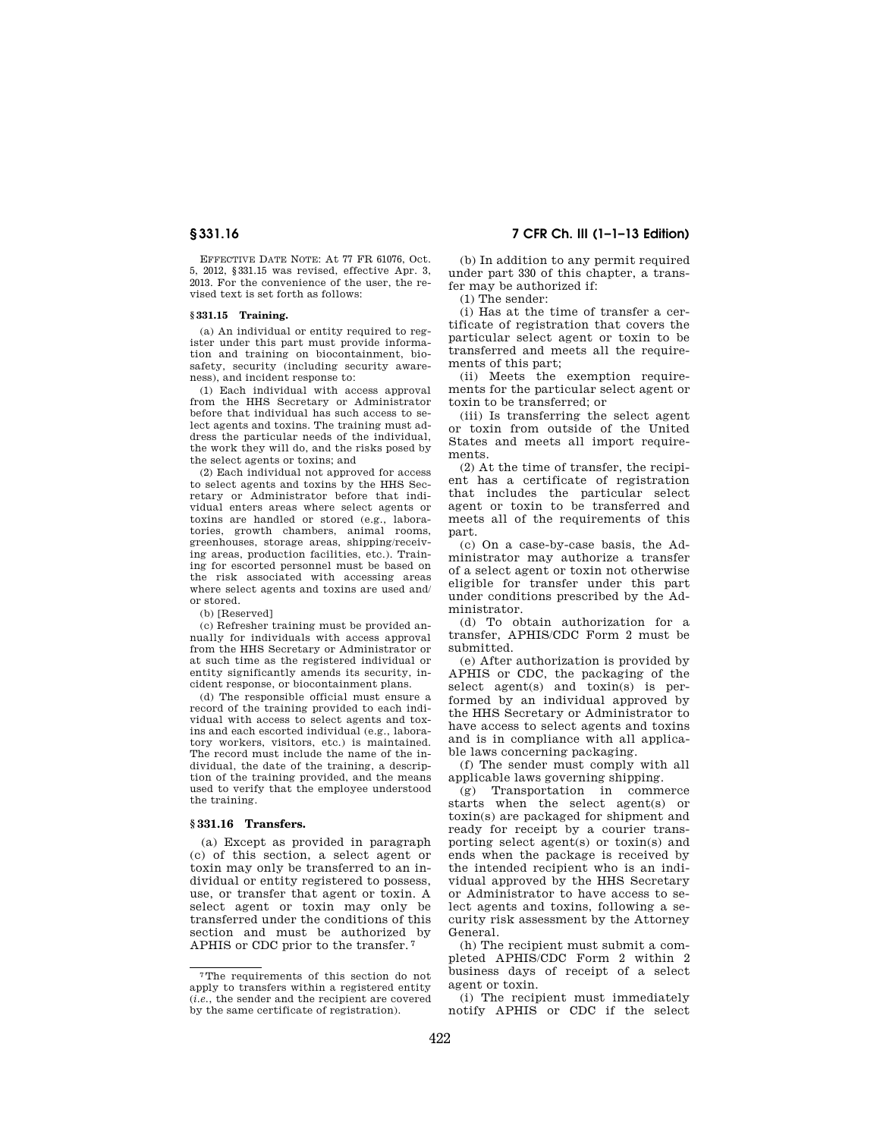EFFECTIVE DATE NOTE: At 77 FR 61076, Oct. 5, 2012, §331.15 was revised, effective Apr. 3, 2013. For the convenience of the user, the revised text is set forth as follows:

# **§ 331.15 Training.**

(a) An individual or entity required to register under this part must provide information and training on biocontainment, biosafety, security (including security awareness), and incident response to:

(1) Each individual with access approval from the HHS Secretary or Administrator before that individual has such access to select agents and toxins. The training must address the particular needs of the individual, the work they will do, and the risks posed by the select agents or toxins; and

(2) Each individual not approved for access to select agents and toxins by the HHS Secretary or Administrator before that individual enters areas where select agents or toxins are handled or stored (e.g., laboratories, growth chambers, animal rooms, greenhouses, storage areas, shipping/receiving areas, production facilities, etc.). Training for escorted personnel must be based on the risk associated with accessing areas where select agents and toxins are used and/ or stored.

(b) [Reserved]

(c) Refresher training must be provided annually for individuals with access approval from the HHS Secretary or Administrator or at such time as the registered individual or entity significantly amends its security, incident response, or biocontainment plans.

(d) The responsible official must ensure a record of the training provided to each individual with access to select agents and toxins and each escorted individual (e.g., laboratory workers, visitors, etc.) is maintained. The record must include the name of the individual, the date of the training, a description of the training provided, and the means used to verify that the employee understood the training.

# **§ 331.16 Transfers.**

(a) Except as provided in paragraph (c) of this section, a select agent or toxin may only be transferred to an individual or entity registered to possess, use, or transfer that agent or toxin. A select agent or toxin may only be transferred under the conditions of this section and must be authorized by APHIS or CDC prior to the transfer. 7

# **§ 331.16 7 CFR Ch. III (1–1–13 Edition)**

(b) In addition to any permit required under part 330 of this chapter, a transfer may be authorized if:

(1) The sender:

(i) Has at the time of transfer a certificate of registration that covers the particular select agent or toxin to be transferred and meets all the requirements of this part;

(ii) Meets the exemption requirements for the particular select agent or toxin to be transferred; or

(iii) Is transferring the select agent or toxin from outside of the United States and meets all import requirements.

(2) At the time of transfer, the recipient has a certificate of registration that includes the particular select agent or toxin to be transferred and meets all of the requirements of this part.

(c) On a case-by-case basis, the Administrator may authorize a transfer of a select agent or toxin not otherwise eligible for transfer under this part under conditions prescribed by the Administrator.

(d) To obtain authorization for a transfer, APHIS/CDC Form 2 must be submitted.

(e) After authorization is provided by APHIS or CDC, the packaging of the select agent(s) and toxin(s) is performed by an individual approved by the HHS Secretary or Administrator to have access to select agents and toxins and is in compliance with all applicable laws concerning packaging.

(f) The sender must comply with all applicable laws governing shipping.

(g) Transportation in commerce starts when the select agent(s) or toxin(s) are packaged for shipment and ready for receipt by a courier transporting select agent(s) or toxin(s) and ends when the package is received by the intended recipient who is an individual approved by the HHS Secretary or Administrator to have access to select agents and toxins, following a security risk assessment by the Attorney General.

(h) The recipient must submit a completed APHIS/CDC Form 2 within 2 business days of receipt of a select agent or toxin.

(i) The recipient must immediately notify APHIS or CDC if the select

<sup>7</sup>The requirements of this section do not apply to transfers within a registered entity (*i.e.*, the sender and the recipient are covered by the same certificate of registration).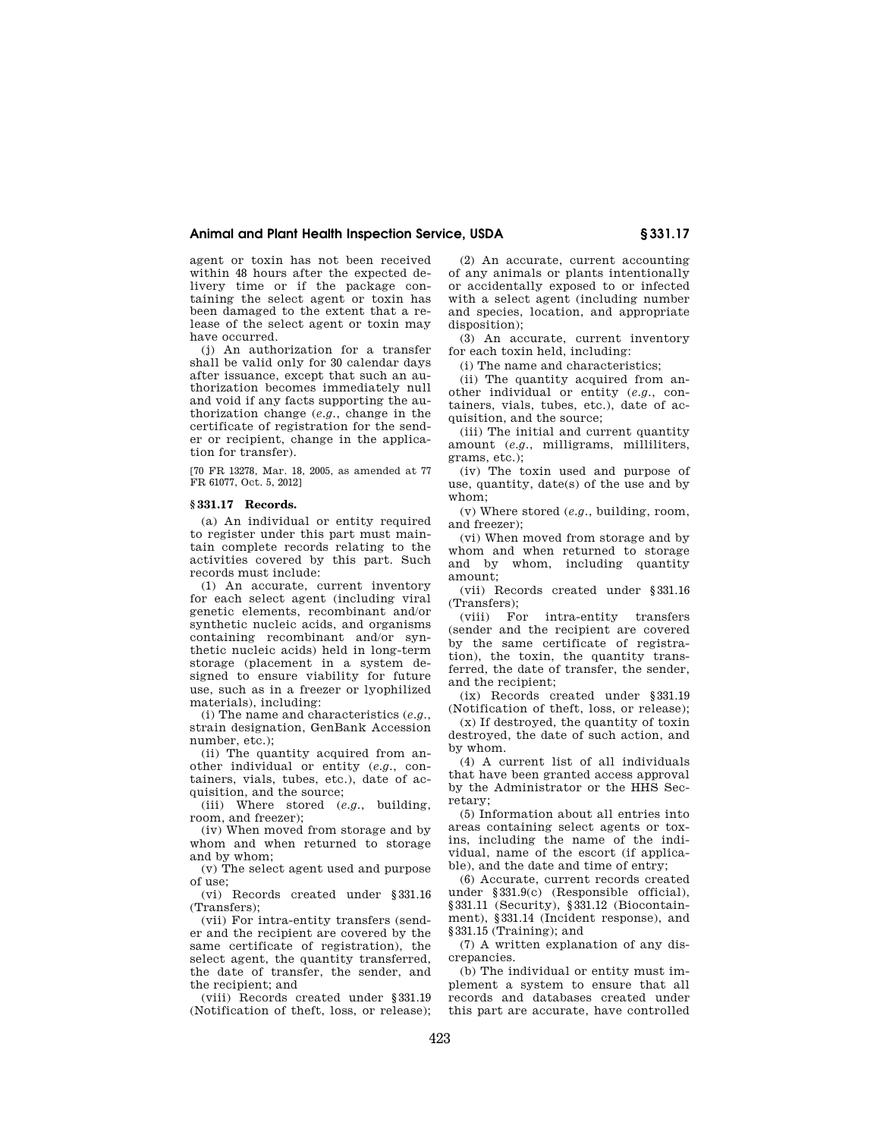agent or toxin has not been received within 48 hours after the expected delivery time or if the package containing the select agent or toxin has been damaged to the extent that a release of the select agent or toxin may have occurred.

(j) An authorization for a transfer shall be valid only for 30 calendar days after issuance, except that such an authorization becomes immediately null and void if any facts supporting the authorization change (*e.g.*, change in the certificate of registration for the sender or recipient, change in the application for transfer).

[70 FR 13278, Mar. 18, 2005, as amended at 77 FR 61077, Oct. 5, 2012]

#### **§ 331.17 Records.**

(a) An individual or entity required to register under this part must maintain complete records relating to the activities covered by this part. Such records must include:

(1) An accurate, current inventory for each select agent (including viral genetic elements, recombinant and/or synthetic nucleic acids, and organisms containing recombinant and/or synthetic nucleic acids) held in long-term storage (placement in a system designed to ensure viability for future use, such as in a freezer or lyophilized materials), including:

(i) The name and characteristics (*e.g.*, strain designation, GenBank Accession number, etc.);

(ii) The quantity acquired from another individual or entity (*e.g.*, containers, vials, tubes, etc.), date of acquisition, and the source;

(iii) Where stored (*e.g.*, building, room, and freezer);

(iv) When moved from storage and by whom and when returned to storage and by whom;

(v) The select agent used and purpose of use;

(vi) Records created under §331.16 (Transfers);

(vii) For intra-entity transfers (sender and the recipient are covered by the same certificate of registration), the select agent, the quantity transferred, the date of transfer, the sender, and the recipient; and

(viii) Records created under §331.19 (Notification of theft, loss, or release);

(2) An accurate, current accounting of any animals or plants intentionally or accidentally exposed to or infected with a select agent (including number and species, location, and appropriate disposition);

(3) An accurate, current inventory for each toxin held, including:

(i) The name and characteristics;

(ii) The quantity acquired from another individual or entity (*e.g.*, containers, vials, tubes, etc.), date of acquisition, and the source;

(iii) The initial and current quantity amount (*e.g.*, milligrams, milliliters, grams, etc.);

(iv) The toxin used and purpose of use, quantity, date(s) of the use and by  $whom$ 

(v) Where stored (*e.g.*, building, room, and freezer);

(vi) When moved from storage and by whom and when returned to storage and by whom, including quantity amount;

(vii) Records created under §331.16 (Transfers);

(viii) For intra-entity transfers (sender and the recipient are covered by the same certificate of registration), the toxin, the quantity transferred, the date of transfer, the sender, and the recipient;

(ix) Records created under §331.19 (Notification of theft, loss, or release);

(x) If destroyed, the quantity of toxin destroyed, the date of such action, and by whom.

(4) A current list of all individuals that have been granted access approval by the Administrator or the HHS Secretary;

(5) Information about all entries into areas containing select agents or toxins, including the name of the individual, name of the escort (if applicable), and the date and time of entry;

(6) Accurate, current records created under §331.9(c) (Responsible official), §331.11 (Security), §331.12 (Biocontainment), §331.14 (Incident response), and §331.15 (Training); and

(7) A written explanation of any discrepancies.

(b) The individual or entity must implement a system to ensure that all records and databases created under this part are accurate, have controlled